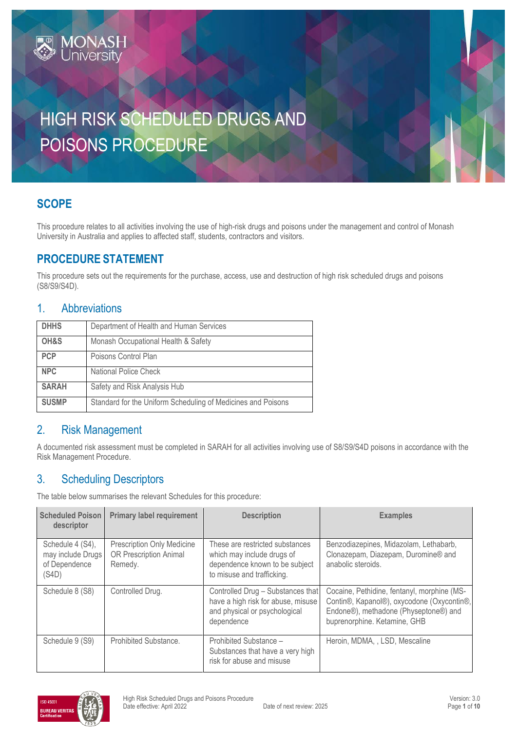# HIGH RISK SCHEDULED DRUGS AND POISONS PROCEDURE

## **SCOPE**

This procedure relates to all activities involving the use of high-risk drugs and poisons under the management and control of Monash University in Australia and applies to affected staff, students, contractors and visitors.

#### **PROCEDURE STATEMENT**

MONASH<br>University

This procedure sets out the requirements for the purchase, access, use and destruction of high risk scheduled drugs and poisons (S8/S9/S4D).

#### 1. Abbreviations

| <b>DHHS</b>  | Department of Health and Human Services                      |
|--------------|--------------------------------------------------------------|
| OH&S         | Monash Occupational Health & Safety                          |
| <b>PCP</b>   | Poisons Control Plan                                         |
| <b>NPC</b>   | National Police Check                                        |
| <b>SARAH</b> | Safety and Risk Analysis Hub                                 |
| <b>SUSMP</b> | Standard for the Uniform Scheduling of Medicines and Poisons |

#### 2. Risk Management

A documented risk assessment must be completed in SARAH for all activities involving use of S8/S9/S4D poisons in accordance with the [Risk Management Procedure.](https://www.monash.edu/__data/assets/pdf_file/0020/147152/risk-management.pdf)

## 3. Scheduling Descriptors

The table below summarises the relevant Schedules for this procedure:

| <b>Scheduled Poison</b><br>descriptor                           | <b>Primary label requirement</b>                                              | <b>Description</b>                                                                                                            | <b>Examples</b>                                                                                                                                                    |
|-----------------------------------------------------------------|-------------------------------------------------------------------------------|-------------------------------------------------------------------------------------------------------------------------------|--------------------------------------------------------------------------------------------------------------------------------------------------------------------|
| Schedule 4 (S4),<br>may include Drugs<br>of Dependence<br>(S4D) | <b>Prescription Only Medicine</b><br><b>OR Prescription Animal</b><br>Remedy. | These are restricted substances<br>which may include drugs of<br>dependence known to be subject<br>to misuse and trafficking. | Benzodiazepines, Midazolam, Lethabarb,<br>Clonazepam, Diazepam, Duromine® and<br>anabolic steroids.                                                                |
| Schedule 8 (S8)                                                 | Controlled Drug.                                                              | Controlled Drug - Substances that<br>have a high risk for abuse, misuse<br>and physical or psychological<br>dependence        | Cocaine, Pethidine, fentanyl, morphine (MS-<br>Contin®, Kapanol®), oxycodone (Oxycontin®,<br>Endone®), methadone (Physeptone®) and<br>buprenorphine. Ketamine, GHB |
| Schedule 9 (S9)                                                 | Prohibited Substance.                                                         | Prohibited Substance -<br>Substances that have a very high<br>risk for abuse and misuse                                       | Heroin, MDMA, , LSD, Mescaline                                                                                                                                     |

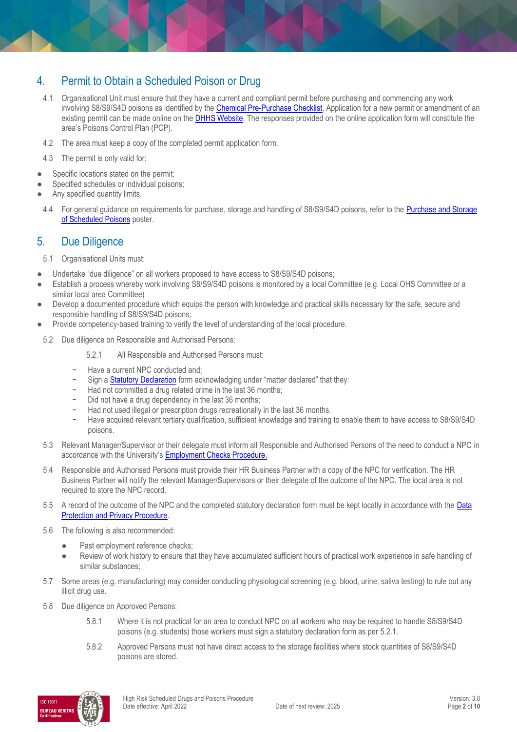#### 4. Permit to Obtain a Scheduled Poison or Drug

- 4.1 Organisational Unit must ensure that they have a current and compliant permit before purchasing and commencing any work involving S8/S9/S4D poisons as identified by the [Chemical Pre-Purchase Checklist.](https://www.monash.edu/__data/assets/pdf_file/0020/113726/Chemical-prepurchase-checklist.pdf) Application for a new permit or amendment of an existing permit can be made online on the **DHHS Website**. The responses provided on the online application form will constitute the area's Poisons Control Plan (PCP).
- 4.2 The area must keep a copy of the completed permit application form.
- 4.3 The permit is only valid for:
- Specific locations stated on the permit;
- Specified schedules or individual poisons;
- Any specified quantity limits.
- 4.4 For general guidance on requirements for purchase, storage and handling of S8/S9/S4D poisons, refer to the [Purchase and Storage](http://www.monash.edu/__data/assets/pdf_file/0003/150474/poisons.pdf)  [of Scheduled Poisons](http://www.monash.edu/__data/assets/pdf_file/0003/150474/poisons.pdf) poster.

#### 5. Due Diligence

- 5.1 Organisational Units must:
- Undertake "due diligence" on all workers proposed to have access to S8/S9/S4D poisons;
- Establish a process whereby work involving S8/S9/S4D poisons is monitored by a local Committee (e.g. Local OHS Committee or a similar local area Committee)
- Develop a documented procedure which equips the person with knowledge and practical skills necessary for the safe, secure and responsible handling of S8/S9/S4D poisons;
- Provide competency-based training to verify the level of understanding of the local procedure.
- 5.2 Due diligence on Responsible and Authorised Persons:
	- 5.2.1 All Responsible and Authorised Persons must:
	- − Have a current NPC conducted and;
	- Sign a [Statutory Declaration](https://www.justice.vic.gov.au/statdecs) form acknowledging under "matter declared" that they:
	- Had not committed a drug related crime in the last 36 months;
	- Did not have a drug dependency in the last 36 months;
	- Had not used illegal or prescription drugs recreationally in the last 36 months.
	- − Have acquired relevant tertiary qualification, sufficient knowledge and training to enable them to have access to S8/S9/S4D poisons.
- 5.3 Relevant Manager/Supervisor or their delegate must inform all Responsible and Authorised Persons of the need to conduct a NPC in accordance with the University's [Employment Checks Procedure.](https://publicpolicydms.monash.edu/Monash/documents/1935679)
- 5.4 Responsible and Authorised Persons must provide their HR Business Partner with a copy of the NPC for verification. The HR Business Partner will notify the relevant Manager/Supervisors or their delegate of the outcome of the NPC. The local area is not required to store the NPC record.
- 5.5 A record of the outcome of the NPC and the completed statutory declaration form must be kept locally in accordance with the Data [Protection and Privacy Procedure.](https://publicpolicydms.monash.edu/Monash/documents/1909233)
- 5.6 The following is also recommended:
	- Past employment reference checks;
	- Review of work history to ensure that they have accumulated sufficient hours of practical work experience in safe handling of similar substances;
- 5.7 Some areas (e.g. manufacturing) may consider conducting physiological screening (e.g. blood, urine, saliva testing) to rule out any illicit drug use.
- 5.8 Due diligence on Approved Persons:
	- 5.8.1 Where it is not practical for an area to conduct NPC on all workers who may be required to handle S8/S9/S4D poisons (e.g. students) those workers must sign a statutory declaration form as per 5.2.1.
	- 5.8.2 Approved Persons must not have direct access to the storage facilities where stock quantities of S8/S9/S4D poisons are stored.

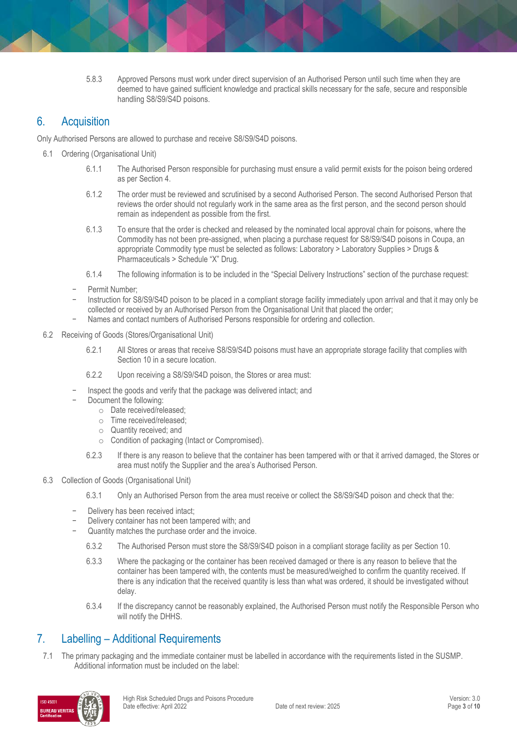5.8.3 Approved Persons must work under direct supervision of an Authorised Person until such time when they are deemed to have gained sufficient knowledge and practical skills necessary for the safe, secure and responsible handling S8/S9/S4D poisons.

#### 6. Acquisition

Only Authorised Persons are allowed to purchase and receive S8/S9/S4D poisons.

- 6.1 Ordering (Organisational Unit)
	- 6.1.1 The Authorised Person responsible for purchasing must ensure a valid permit exists for the poison being ordered as per Section 4.
	- 6.1.2 The order must be reviewed and scrutinised by a second Authorised Person. The second Authorised Person that reviews the order should not regularly work in the same area as the first person, and the second person should remain as independent as possible from the first.
	- 6.1.3 To ensure that the order is checked and released by the nominated local approval chain for poisons, where the Commodity has not been pre-assigned, when placing a purchase request for S8/S9/S4D poisons in Coupa, an appropriate Commodity type must be selected as follows: Laboratory > Laboratory Supplies > Drugs & Pharmaceuticals > Schedule "X" Drug.
	- 6.1.4 The following information is to be included in the "Special Delivery Instructions" section of the purchase request:
	- − Permit Number;
	- − Instruction for S8/S9/S4D poison to be placed in a compliant storage facility immediately upon arrival and that it may only be collected or received by an Authorised Person from the Organisational Unit that placed the order;
	- − Names and contact numbers of Authorised Persons responsible for ordering and collection.
- 6.2 Receiving of Goods (Stores/Organisational Unit)
	- 6.2.1 All Stores or areas that receive S8/S9/S4D poisons must have an appropriate storage facility that complies with Section 10 in a secure location.
	- 6.2.2 Upon receiving a S8/S9/S4D poison, the Stores or area must:
	- Inspect the goods and verify that the package was delivered intact; and
	- Document the following:
		- o Date received/released;
		- o Time received/released;
		- o Quantity received; and
		- o Condition of packaging (Intact or Compromised).
		- 6.2.3 If there is any reason to believe that the container has been tampered with or that it arrived damaged, the Stores or area must notify the Supplier and the area's Authorised Person.
- 6.3 Collection of Goods (Organisational Unit)
	- 6.3.1 Only an Authorised Person from the area must receive or collect the S8/S9/S4D poison and check that the:
	- Delivery has been received intact;
	- Delivery container has not been tampered with; and
	- Quantity matches the purchase order and the invoice.
		- 6.3.2 The Authorised Person must store the S8/S9/S4D poison in a compliant storage facility as per Section 10.
		- 6.3.3 Where the packaging or the container has been received damaged or there is any reason to believe that the container has been tampered with, the contents must be measured/weighed to confirm the quantity received. If there is any indication that the received quantity is less than what was ordered, it should be investigated without delay.
		- 6.3.4 If the discrepancy cannot be reasonably explained, the Authorised Person must notify the Responsible Person who will notify the DHHS.

#### 7. Labelling – Additional Requirements

7.1 The primary packaging and the immediate container must be labelled in accordance with the requirements listed in the SUSMP. Additional information must be included on the label:

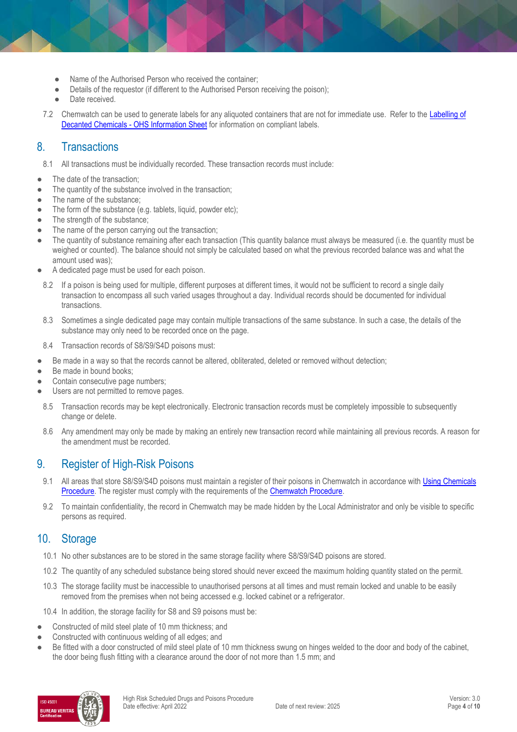- Name of the Authorised Person who received the container;
- Details of the requestor (if different to the Authorised Person receiving the poison);
- Date received.
- 7.2 Chemwatch can be used to generate labels for any aliquoted containers that are not for immediate use. Refer to the [Labelling of](https://www.monash.edu/ohs/info-docs/safety-topics/chemical-management/labelling-of-decanted-chemicals-ohs-information-sheet)  Decanted Chemicals - [OHS Information Sheet](https://www.monash.edu/ohs/info-docs/safety-topics/chemical-management/labelling-of-decanted-chemicals-ohs-information-sheet) for information on compliant labels.

#### 8. Transactions

- 8.1 All transactions must be individually recorded. These transaction records must include:
- The date of the transaction;
- The quantity of the substance involved in the transaction;
- The name of the substance:
- The form of the substance (e.g. tablets, liquid, powder etc);
- The strength of the substance:
- The name of the person carrying out the transaction;
- The quantity of substance remaining after each transaction (This quantity balance must always be measured (i.e. the quantity must be weighed or counted). The balance should not simply be calculated based on what the previous recorded balance was and what the amount used was);
- A dedicated page must be used for each poison.
- 8.2 If a poison is being used for multiple, different purposes at different times, it would not be sufficient to record a single daily transaction to encompass all such varied usages throughout a day. Individual records should be documented for individual transactions.
- 8.3 Sometimes a single dedicated page may contain multiple transactions of the same substance. In such a case, the details of the substance may only need to be recorded once on the page.
- 8.4 Transaction records of S8/S9/S4D poisons must:
- Be made in a way so that the records cannot be altered, obliterated, deleted or removed without detection;
- Be made in bound books:
- Contain consecutive page numbers;
- Users are not permitted to remove pages.
- 8.5 Transaction records may be kept electronically. Electronic transaction records must be completely impossible to subsequently change or delete.
- 8.6 Any amendment may only be made by making an entirely new transaction record while maintaining all previous records. A reason for the amendment must be recorded.

#### 9. Register of High-Risk Poisons

- 9.1 All areas that store S8/S9/S4D poisons must maintain a register of their poisons in Chemwatch in accordance with Using Chemicals [Procedure.](https://publicpolicydms.monash.edu/Monash/documents/1935640) The register must comply with the requirements of the [Chemwatch Procedure.](https://publicpolicydms.monash.edu/Monash/documents/1935604)
- 9.2 To maintain confidentiality, the record in Chemwatch may be made hidden by the Local Administrator and only be visible to specific persons as required.

#### 10. Storage

- 10.1 No other substances are to be stored in the same storage facility where S8/S9/S4D poisons are stored.
- 10.2 The quantity of any scheduled substance being stored should never exceed the maximum holding quantity stated on the permit.
- 10.3 The storage facility must be inaccessible to unauthorised persons at all times and must remain locked and unable to be easily removed from the premises when not being accessed e.g. locked cabinet or a refrigerator.

10.4 In addition, the storage facility for S8 and S9 poisons must be:

- Constructed of mild steel plate of 10 mm thickness; and
- Constructed with continuous welding of all edges; and
- Be fitted with a door constructed of mild steel plate of 10 mm thickness swung on hinges welded to the door and body of the cabinet, the door being flush fitting with a clearance around the door of not more than 1.5 mm; and

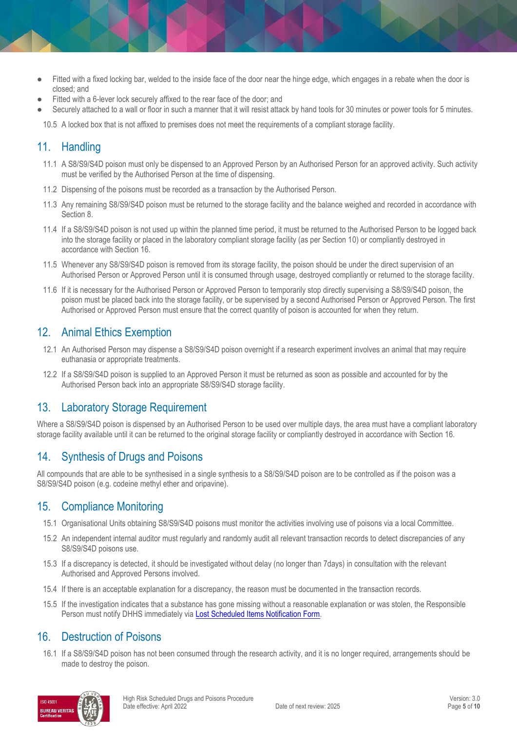- Fitted with a fixed locking bar, welded to the inside face of the door near the hinge edge, which engages in a rebate when the door is closed; and
- Fitted with a 6-lever lock securely affixed to the rear face of the door; and
- Securely attached to a wall or floor in such a manner that it will resist attack by hand tools for 30 minutes or power tools for 5 minutes.

10.5 A locked box that is not affixed to premises does not meet the requirements of a compliant storage facility.

#### 11. Handling

- 11.1 A S8/S9/S4D poison must only be dispensed to an Approved Person by an Authorised Person for an approved activity. Such activity must be verified by the Authorised Person at the time of dispensing.
- 11.2 Dispensing of the poisons must be recorded as a transaction by the Authorised Person.
- 11.3 Any remaining S8/S9/S4D poison must be returned to the storage facility and the balance weighed and recorded in accordance with Section 8.
- 11.4 If a S8/S9/S4D poison is not used up within the planned time period, it must be returned to the Authorised Person to be logged back into the storage facility or placed in the laboratory compliant storage facility (as per Section 10) or compliantly destroyed in accordance with Section 16.
- 11.5 Whenever any S8/S9/S4D poison is removed from its storage facility, the poison should be under the direct supervision of an Authorised Person or Approved Person until it is consumed through usage, destroyed compliantly or returned to the storage facility.
- 11.6 If it is necessary for the Authorised Person or Approved Person to temporarily stop directly supervising a S8/S9/S4D poison, the poison must be placed back into the storage facility, or be supervised by a second Authorised Person or Approved Person. The first Authorised or Approved Person must ensure that the correct quantity of poison is accounted for when they return.

#### 12. Animal Ethics Exemption

- 12.1 An Authorised Person may dispense a S8/S9/S4D poison overnight if a research experiment involves an animal that may require euthanasia or appropriate treatments.
- 12.2 If a S8/S9/S4D poison is supplied to an Approved Person it must be returned as soon as possible and accounted for by the Authorised Person back into an appropriate S8/S9/S4D storage facility.

#### 13. Laboratory Storage Requirement

Where a S8/S9/S4D poison is dispensed by an Authorised Person to be used over multiple days, the area must have a compliant laboratory storage facility available until it can be returned to the original storage facility or compliantly destroyed in accordance with Section 16.

## 14. Synthesis of Drugs and Poisons

All compounds that are able to be synthesised in a single synthesis to a S8/S9/S4D poison are to be controlled as if the poison was a S8/S9/S4D poison (e.g. codeine methyl ether and oripavine).

#### 15. Compliance Monitoring

- 15.1 Organisational Units obtaining S8/S9/S4D poisons must monitor the activities involving use of poisons via a local Committee.
- 15.2 An independent internal auditor must regularly and randomly audit all relevant transaction records to detect discrepancies of any S8/S9/S4D poisons use.
- 15.3 If a discrepancy is detected, it should be investigated without delay (no longer than 7days) in consultation with the relevant Authorised and Approved Persons involved.
- 15.4 If there is an acceptable explanation for a discrepancy, the reason must be documented in the transaction records.
- 15.5 If the investigation indicates that a substance has gone missing without a reasonable explanation or was stolen, the Responsible Person must notify DHHS immediately vi[a Lost Scheduled Items Notification Form.](https://forms.business.gov.au/smartforms/landing.htm?formCode=lost-item-notificati)

#### 16. Destruction of Poisons

16.1 If a S8/S9/S4D poison has not been consumed through the research activity, and it is no longer required, arrangements should be made to destroy the poison.

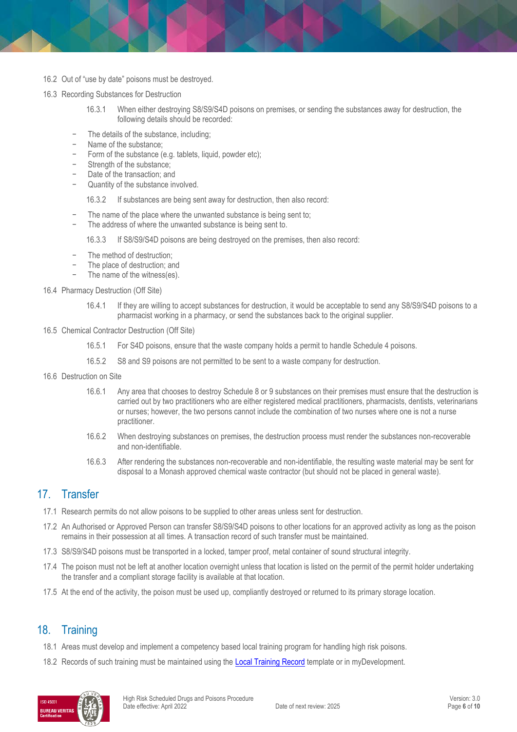- 16.2 Out of "use by date" poisons must be destroyed.
- 16.3 Recording Substances for Destruction
	- 16.3.1 When either destroying S8/S9/S4D poisons on premises, or sending the substances away for destruction, the following details should be recorded:
	- The details of the substance, including;
	- − Name of the substance;
	- Form of the substance (e.g. tablets, liquid, powder etc);
	- − Strength of the substance;
	- Date of the transaction; and
	- Quantity of the substance involved.

16.3.2 If substances are being sent away for destruction, then also record:

- The name of the place where the unwanted substance is being sent to;
- The address of where the unwanted substance is being sent to.
	- 16.3.3 If S8/S9/S4D poisons are being destroyed on the premises, then also record:
- The method of destruction;
- The place of destruction; and
- The name of the witness(es).
- 16.4 Pharmacy Destruction (Off Site)
	- 16.4.1 If they are willing to accept substances for destruction, it would be acceptable to send any S8/S9/S4D poisons to a pharmacist working in a pharmacy, or send the substances back to the original supplier.
- 16.5 Chemical Contractor Destruction (Off Site)
	- 16.5.1 For S4D poisons, ensure that the waste company holds a permit to handle Schedule 4 poisons.
	- 16.5.2 S8 and S9 poisons are not permitted to be sent to a waste company for destruction.
- 16.6 Destruction on Site
	- 16.6.1 Any area that chooses to destroy Schedule 8 or 9 substances on their premises must ensure that the destruction is carried out by two practitioners who are either registered medical practitioners, pharmacists, dentists, veterinarians or nurses; however, the two persons cannot include the combination of two nurses where one is not a nurse practitioner.
	- 16.6.2 When destroying substances on premises, the destruction process must render the substances non-recoverable and non-identifiable.
	- 16.6.3 After rendering the substances non-recoverable and non-identifiable, the resulting waste material may be sent for disposal to a Monash approved chemical waste contractor (but should not be placed in general waste).

#### 17. Transfer

- 17.1 Research permits do not allow poisons to be supplied to other areas unless sent for destruction.
- 17.2 An Authorised or Approved Person can transfer S8/S9/S4D poisons to other locations for an approved activity as long as the poison remains in their possession at all times. A transaction record of such transfer must be maintained.
- 17.3 S8/S9/S4D poisons must be transported in a locked, tamper proof, metal container of sound structural integrity.
- 17.4 The poison must not be left at another location overnight unless that location is listed on the permit of the permit holder undertaking the transfer and a compliant storage facility is available at that location.
- 17.5 At the end of the activity, the poison must be used up, compliantly destroyed or returned to its primary storage location.

#### 18. Training

- 18.1 Areas must develop and implement a competency based local training program for handling high risk poisons.
- 18.2 Records of such training must be maintained using the [Local Training Record](https://www.monash.edu/__data/assets/word_doc/0011/1621847/Local-training-records-proforma.docx) template or in myDevelopment.

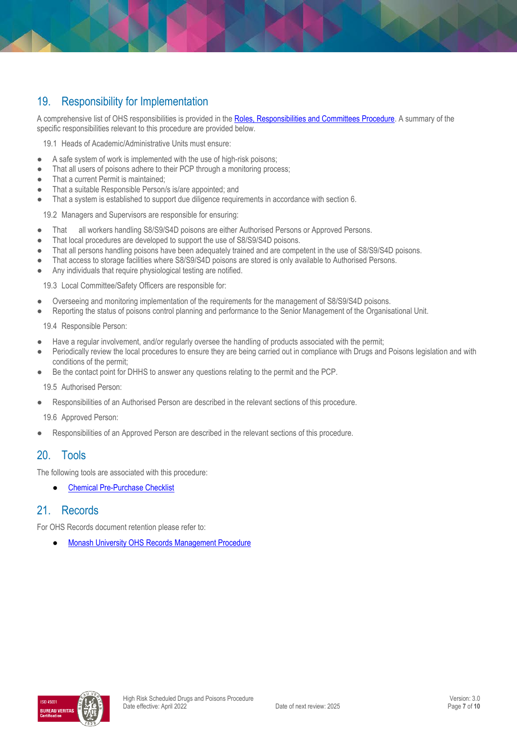## 19. Responsibility for Implementation

A comprehensive list of OHS responsibilities is provided in the [Roles, Responsibilities and Committees Procedure.](https://publicpolicydms.monash.edu/Monash/documents/1935644) A summary of the specific responsibilities relevant to this procedure are provided below.

19.1 Heads of Academic/Administrative Units must ensure:

- A safe system of work is implemented with the use of high-risk poisons;
- That all users of poisons adhere to their PCP through a monitoring process;
- That a current Permit is maintained;
- That a suitable Responsible Person/s is/are appointed; and
- That a system is established to support due diligence requirements in accordance with section 6.

19.2 Managers and Supervisors are responsible for ensuring:

- That all workers handling S8/S9/S4D poisons are either Authorised Persons or Approved Persons.
- That local procedures are developed to support the use of S8/S9/S4D poisons.
- That all persons handling poisons have been adequately trained and are competent in the use of S8/S9/S4D poisons.
- That access to storage facilities where S8/S9/S4D poisons are stored is only available to Authorised Persons.
- Any individuals that require physiological testing are notified.

19.3 Local Committee/Safety Officers are responsible for:

- Overseeing and monitoring implementation of the requirements for the management of S8/S9/S4D poisons.
- Reporting the status of poisons control planning and performance to the Senior Management of the Organisational Unit.

19.4 Responsible Person:

- Have a regular involvement, and/or regularly oversee the handling of products associated with the permit;
- Periodically review the local procedures to ensure they are being carried out in compliance with Drugs and Poisons legislation and with conditions of the permit;
- Be the contact point for DHHS to answer any questions relating to the permit and the PCP.

19.5 Authorised Person:

Responsibilities of an Authorised Person are described in the relevant sections of this procedure.

19.6 Approved Person:

Responsibilities of an Approved Person are described in the relevant sections of this procedure.

#### 20. Tools

The following tools are associated with this procedure:

**[Chemical Pre-Purchase Checklist](https://www.monash.edu/__data/assets/word_doc/0011/836291/Chemical-prepurchase-checklist.docx)** 

#### 21. Records

For OHS Records document retention please refer to:

**[Monash University OHS Records Management Procedure](https://publicpolicydms.monash.edu/Monash/documents/1935642)** 

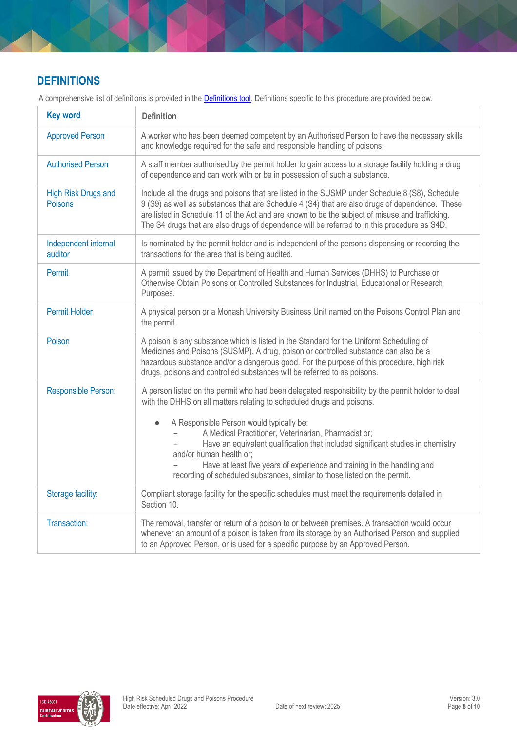## **DEFINITIONS**

| <b>Key word</b>                       | <b>Definition</b>                                                                                                                                                                                                                                                                                                                                                                                                                                                                                                                                                |
|---------------------------------------|------------------------------------------------------------------------------------------------------------------------------------------------------------------------------------------------------------------------------------------------------------------------------------------------------------------------------------------------------------------------------------------------------------------------------------------------------------------------------------------------------------------------------------------------------------------|
| <b>Approved Person</b>                | A worker who has been deemed competent by an Authorised Person to have the necessary skills<br>and knowledge required for the safe and responsible handling of poisons.                                                                                                                                                                                                                                                                                                                                                                                          |
| <b>Authorised Person</b>              | A staff member authorised by the permit holder to gain access to a storage facility holding a drug<br>of dependence and can work with or be in possession of such a substance.                                                                                                                                                                                                                                                                                                                                                                                   |
| <b>High Risk Drugs and</b><br>Poisons | Include all the drugs and poisons that are listed in the SUSMP under Schedule 8 (S8), Schedule<br>9 (S9) as well as substances that are Schedule 4 (S4) that are also drugs of dependence. These<br>are listed in Schedule 11 of the Act and are known to be the subject of misuse and trafficking.<br>The S4 drugs that are also drugs of dependence will be referred to in this procedure as S4D.                                                                                                                                                              |
| Independent internal<br>auditor       | Is nominated by the permit holder and is independent of the persons dispensing or recording the<br>transactions for the area that is being audited.                                                                                                                                                                                                                                                                                                                                                                                                              |
| Permit                                | A permit issued by the Department of Health and Human Services (DHHS) to Purchase or<br>Otherwise Obtain Poisons or Controlled Substances for Industrial, Educational or Research<br>Purposes.                                                                                                                                                                                                                                                                                                                                                                   |
| <b>Permit Holder</b>                  | A physical person or a Monash University Business Unit named on the Poisons Control Plan and<br>the permit.                                                                                                                                                                                                                                                                                                                                                                                                                                                      |
| Poison                                | A poison is any substance which is listed in the Standard for the Uniform Scheduling of<br>Medicines and Poisons (SUSMP). A drug, poison or controlled substance can also be a<br>hazardous substance and/or a dangerous good. For the purpose of this procedure, high risk<br>drugs, poisons and controlled substances will be referred to as poisons.                                                                                                                                                                                                          |
| Responsible Person:                   | A person listed on the permit who had been delegated responsibility by the permit holder to deal<br>with the DHHS on all matters relating to scheduled drugs and poisons.<br>A Responsible Person would typically be:<br>$\bullet$<br>A Medical Practitioner, Veterinarian, Pharmacist or;<br>Have an equivalent qualification that included significant studies in chemistry<br>and/or human health or;<br>Have at least five years of experience and training in the handling and<br>recording of scheduled substances, similar to those listed on the permit. |
| Storage facility:                     | Compliant storage facility for the specific schedules must meet the requirements detailed in<br>Section 10.                                                                                                                                                                                                                                                                                                                                                                                                                                                      |
| Transaction:                          | The removal, transfer or return of a poison to or between premises. A transaction would occur<br>whenever an amount of a poison is taken from its storage by an Authorised Person and supplied<br>to an Approved Person, or is used for a specific purpose by an Approved Person.                                                                                                                                                                                                                                                                                |

A comprehensive list of definitions is provided in the **Definitions tool**. Definitions specific to this procedure are provided below.

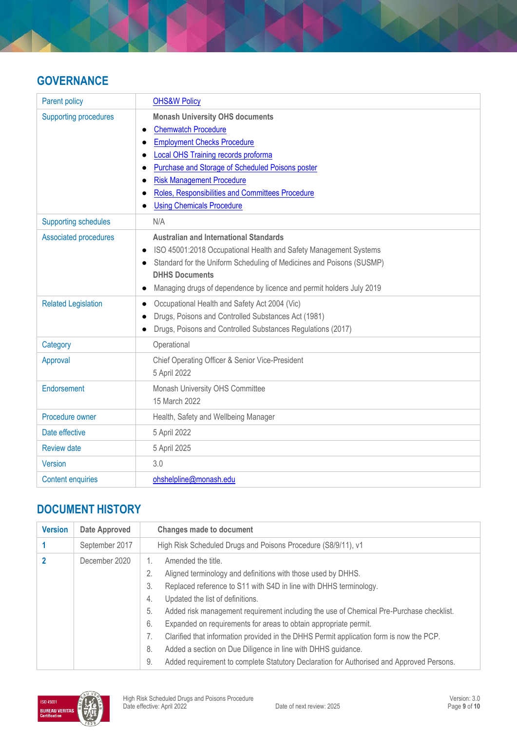### **GOVERNANCE**

| Parent policy                | <b>OHS&amp;W Policy</b>                                                       |
|------------------------------|-------------------------------------------------------------------------------|
| <b>Supporting procedures</b> | <b>Monash University OHS documents</b><br><b>Chemwatch Procedure</b>          |
|                              | $\bullet$<br><b>Employment Checks Procedure</b>                               |
|                              | <b>Local OHS Training records proforma</b>                                    |
|                              | Purchase and Storage of Scheduled Poisons poster                              |
|                              | <b>Risk Management Procedure</b>                                              |
|                              | Roles, Responsibilities and Committees Procedure                              |
|                              | <b>Using Chemicals Procedure</b>                                              |
| <b>Supporting schedules</b>  | N/A                                                                           |
| <b>Associated procedures</b> | <b>Australian and International Standards</b>                                 |
|                              | ISO 45001:2018 Occupational Health and Safety Management Systems<br>$\bullet$ |
|                              | Standard for the Uniform Scheduling of Medicines and Poisons (SUSMP)          |
|                              | <b>DHHS Documents</b>                                                         |
|                              | Managing drugs of dependence by licence and permit holders July 2019          |
| <b>Related Legislation</b>   | Occupational Health and Safety Act 2004 (Vic)<br>$\bullet$                    |
|                              | Drugs, Poisons and Controlled Substances Act (1981)                           |
|                              | Drugs, Poisons and Controlled Substances Regulations (2017)                   |
| Category                     | Operational                                                                   |
| Approval                     | Chief Operating Officer & Senior Vice-President                               |
|                              | 5 April 2022                                                                  |
| Endorsement                  | Monash University OHS Committee                                               |
|                              | 15 March 2022                                                                 |
| Procedure owner              | Health, Safety and Wellbeing Manager                                          |
| Date effective               | 5 April 2022                                                                  |
| <b>Review date</b>           | 5 April 2025                                                                  |
| Version                      | 3.0                                                                           |
| <b>Content enquiries</b>     | ohshelpline@monash.edu                                                        |

## **DOCUMENT HISTORY**

| <b>Version</b> | <b>Date Approved</b> | <b>Changes made to document</b>                                                                |
|----------------|----------------------|------------------------------------------------------------------------------------------------|
|                | September 2017       | High Risk Scheduled Drugs and Poisons Procedure (S8/9/11), v1                                  |
|                | December 2020        | Amended the title.                                                                             |
|                |                      | Aligned terminology and definitions with those used by DHHS.                                   |
|                |                      | 3.<br>Replaced reference to S11 with S4D in line with DHHS terminology.                        |
|                |                      | Updated the list of definitions.<br>4.                                                         |
|                |                      | Added risk management requirement including the use of Chemical Pre-Purchase checklist.<br>5.  |
|                |                      | 6.<br>Expanded on requirements for areas to obtain appropriate permit.                         |
|                |                      | Clarified that information provided in the DHHS Permit application form is now the PCP.<br>7.  |
|                |                      | 8.<br>Added a section on Due Diligence in line with DHHS guidance.                             |
|                |                      | Added requirement to complete Statutory Declaration for Authorised and Approved Persons.<br>9. |